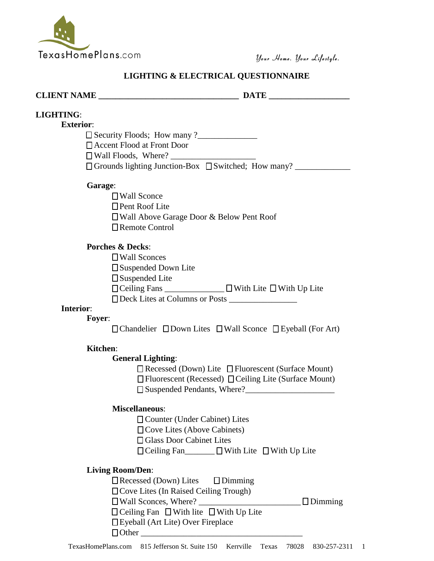

# **LIGHTING & ELECTRICAL QUESTIONNAIRE**

| <b>LIGHTING:</b>                  |                                                                                 |
|-----------------------------------|---------------------------------------------------------------------------------|
| <b>Exterior:</b>                  |                                                                                 |
|                                   | □ Security Floods; How many ?<br>□ Accent Flood at Front Door                   |
|                                   |                                                                                 |
|                                   |                                                                                 |
|                                   | Garage:                                                                         |
|                                   | $\Box$ Wall Sconce                                                              |
|                                   | $\Box$ Pent Roof Lite                                                           |
|                                   | □ Wall Above Garage Door & Below Pent Roof                                      |
|                                   | □ Remote Control                                                                |
|                                   | <b>Porches &amp; Decks:</b>                                                     |
|                                   | $\Box$ Wall Sconces                                                             |
|                                   | □ Suspended Down Lite                                                           |
|                                   | $\square$ Suspended Lite                                                        |
|                                   | □ Ceiling Fans ____________ □ With Lite □ With Up Lite                          |
|                                   |                                                                                 |
| <b>Interior:</b><br><b>Foyer:</b> |                                                                                 |
|                                   | $\Box$ Chandelier $\Box$ Down Lites $\Box$ Wall Sconce $\Box$ Eyeball (For Art) |
|                                   | <b>Kitchen:</b>                                                                 |
|                                   | <b>General Lighting:</b>                                                        |
|                                   | $\Box$ Recessed (Down) Lite $\Box$ Fluorescent (Surface Mount)                  |
|                                   | $\Box$ Fluorescent (Recessed) $\Box$ Ceiling Lite (Surface Mount)               |
|                                   | □ Suspended Pendants, Where?<br><u> </u>                                        |
|                                   | <b>Miscellaneous:</b>                                                           |
|                                   | □ Counter (Under Cabinet) Lites                                                 |
|                                   | $\Box$ Cove Lites (Above Cabinets)                                              |
|                                   | □ Glass Door Cabinet Lites                                                      |
|                                   | □ Ceiling Fan_______ □ With Lite □ With Up Lite                                 |
|                                   | <b>Living Room/Den:</b>                                                         |
|                                   | $\Box$ Recessed (Down) Lites $\Box$ Dimming                                     |
|                                   | □ Cove Lites (In Raised Ceiling Trough)                                         |
|                                   | $\Box$ Dimming                                                                  |
|                                   | $\Box$ Ceiling Fan $\Box$ With lite $\Box$ With Up Lite                         |
|                                   | □ Eyeball (Art Lite) Over Fireplace                                             |
|                                   | $\Box$ Other                                                                    |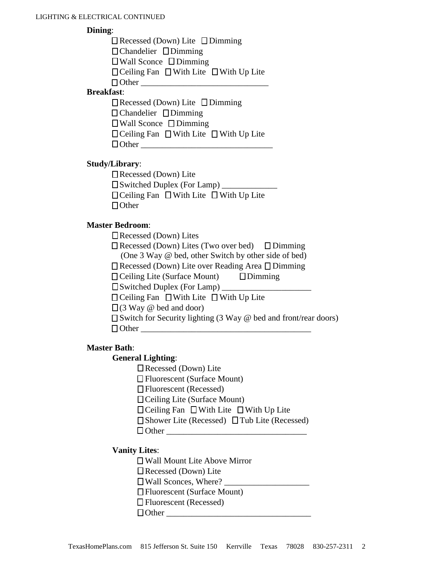### **Dining**:

 $\Box$  Recessed (Down) Lite  $\Box$  Dimming

 $\Box$ Chandelier  $\Box$ Dimming

 $\Box$  Wall Sconce  $\Box$  Dimming

 $\Box$  Ceiling Fan  $\Box$  With Lite  $\Box$  With Up Lite

## $\Box$  Other  $\Box$

#### **Breakfast**:

 $\Box$  Recessed (Down) Lite  $\Box$  Dimming □ Chandelier □ Dimming  $\Box$  Wall Sconce  $\Box$  Dimming  $\Box$  Ceiling Fan  $\Box$  With Lite  $\Box$  With Up Lite Other \_\_\_\_\_\_\_\_\_\_\_\_\_\_\_\_\_\_\_\_\_\_\_\_\_\_\_\_\_\_\_

### **Study/Library**:

Recessed (Down) Lite

 $\square$  Switched Duplex (For Lamp)

 $\Box$  Ceiling Fan  $\Box$  With Lite  $\Box$  With Up Lite

 $\Box$  Other

#### **Master Bedroom**:

Recessed (Down) Lites

 $\Box$  Recessed (Down) Lites (Two over bed)  $\Box$  Dimming (One 3 Way @ bed, other Switch by other side of bed)

 $\Box$  Recessed (Down) Lite over Reading Area  $\Box$  Dimming

 $\Box$  Ceiling Lite (Surface Mount)  $\Box$  Dimming

Switched Duplex (For Lamp) \_\_\_\_\_\_\_\_\_\_\_\_\_\_\_\_\_\_\_\_\_

 $\Box$  Ceiling Fan  $\Box$  With Lite  $\Box$  With Up Lite

 $\Box$  (3 Way @ bed and door)

 $\Box$  Switch for Security lighting (3 Way @ bed and front/rear doors) Other \_\_\_\_\_\_\_\_\_\_\_\_\_\_\_\_\_\_\_\_\_\_\_\_\_\_\_\_\_\_\_\_\_\_\_\_\_\_\_\_

### **Master Bath**:

### **General Lighting**:

Recessed (Down) Lite

Fluorescent (Surface Mount)

Fluorescent (Recessed)

Ceiling Lite (Surface Mount)

 $\Box$  Ceiling Fan  $\Box$  With Lite  $\Box$  With Up Lite

 $\Box$  Shower Lite (Recessed)  $\Box$  Tub Lite (Recessed)

Other \_\_\_\_\_\_\_\_\_\_\_\_\_\_\_\_\_\_\_\_\_\_\_\_\_\_\_\_\_\_\_\_\_

### **Vanity Lites**:

Wall Mount Lite Above Mirror

Recessed (Down) Lite

Wall Sconces, Where? \_\_\_\_\_\_\_\_\_\_\_\_\_\_\_\_\_\_\_\_

Fluorescent (Surface Mount)

Fluorescent (Recessed)

Other \_\_\_\_\_\_\_\_\_\_\_\_\_\_\_\_\_\_\_\_\_\_\_\_\_\_\_\_\_\_\_\_\_\_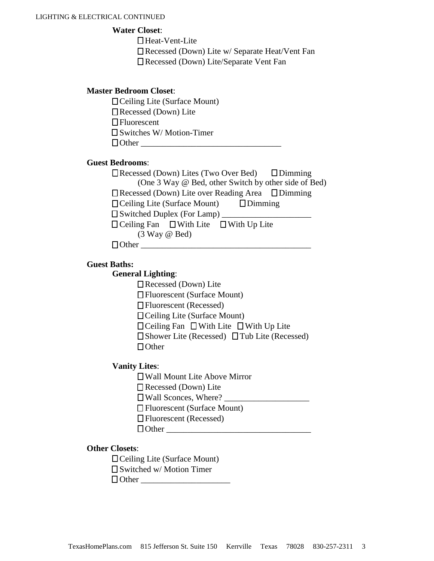#### **Water Closet**:

□Heat-Vent-Lite Recessed (Down) Lite w/ Separate Heat/Vent Fan Recessed (Down) Lite/Separate Vent Fan

### **Master Bedroom Closet**:

□ Ceiling Lite (Surface Mount) Recessed (Down) Lite Fluorescent Switches W/ Motion-Timer  $\Box$  Other

#### **Guest Bedrooms**:

 $\Box$ Recessed (Down) Lites (Two Over Bed)  $\Box$  Dimming (One 3 Way @ Bed, other Switch by other side of Bed)  $\Box$  Recessed (Down) Lite over Reading Area  $\Box$  Dimming  $\Box$  Ceiling Lite (Surface Mount)  $\Box$  Dimming  $\square$  Switched Duplex (For Lamp)  $\square$  $\Box$  Ceiling Fan  $\Box$  With Lite  $\Box$  With Up Lite (3 Way @ Bed)  $\Box$  Other  $\Box$ 

#### **Guest Baths:**

### **General Lighting**:

Recessed (Down) Lite

Fluorescent (Surface Mount)

Fluorescent (Recessed)

□ Ceiling Lite (Surface Mount)

 $\Box$  Ceiling Fan  $\Box$  With Lite  $\Box$  With Up Lite

 $\square$  Shower Lite (Recessed)  $\square$  Tub Lite (Recessed)

□ Other

**Vanity Lites**:

 Wall Mount Lite Above Mirror Recessed (Down) Lite Wall Sconces, Where? \_\_\_\_\_\_\_\_\_\_\_\_\_\_\_\_\_\_\_\_ Fluorescent (Surface Mount) Fluorescent (Recessed) Other \_\_\_\_\_\_\_\_\_\_\_\_\_\_\_\_\_\_\_\_\_\_\_\_\_\_\_\_\_\_\_\_\_\_

### **Other Closets**:

□ Ceiling Lite (Surface Mount)

 $\square$  Switched w/ Motion Timer

| $\Box$ Other |  |
|--------------|--|
|              |  |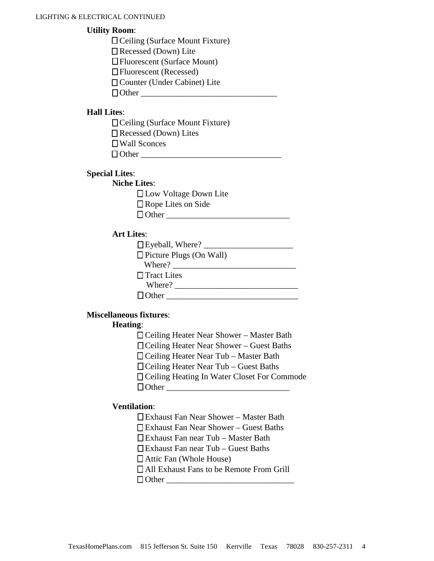#### **Utility Room**:

Ceiling (Surface Mount Fixture)

Recessed (Down) Lite

Fluorescent (Surface Mount)

Fluorescent (Recessed)

□ Counter (Under Cabinet) Lite

 $\Box$  Other

### **Hall Lites**:

□ Ceiling (Surface Mount Fixture)

Recessed (Down) Lites

Wall Sconces

Other \_\_\_\_\_\_\_\_\_\_\_\_\_\_\_\_\_\_\_\_\_\_\_\_\_\_\_\_\_\_\_\_\_

## **Special Lites**:

### **Niche Lites**:

 Low Voltage Down Lite Rope Lites on Side  $\Box$  Other

## **Art Lites**:

| $\Box$ Eyeball, Where? $\Box$  |
|--------------------------------|
| $\Box$ Picture Plugs (On Wall) |
| Where?                         |
| $\Box$ Tract Lites             |
| Where?                         |
| $\Box$ Other                   |

## **Miscellaneous fixtures**:

#### **Heating**:

| $\Box$ Ceiling Heater Near Shower – Master Bath |  |
|-------------------------------------------------|--|
| $\Box$ Ceiling Heater Near Shower – Guest Baths |  |
| $\Box$ Ceiling Heater Near Tub – Master Bath    |  |
| $\Box$ Ceiling Heater Near Tub – Guest Baths    |  |
| □ Ceiling Heating In Water Closet For Commode   |  |
| $\Box$ Other                                    |  |

## **Ventilation**:

- Exhaust Fan Near Shower Master Bath
- Exhaust Fan Near Shower Guest Baths
- Exhaust Fan near Tub Master Bath
- Exhaust Fan near Tub Guest Baths
- □ Attic Fan (Whole House)

All Exhaust Fans to be Remote From Grill

Other \_\_\_\_\_\_\_\_\_\_\_\_\_\_\_\_\_\_\_\_\_\_\_\_\_\_\_\_\_\_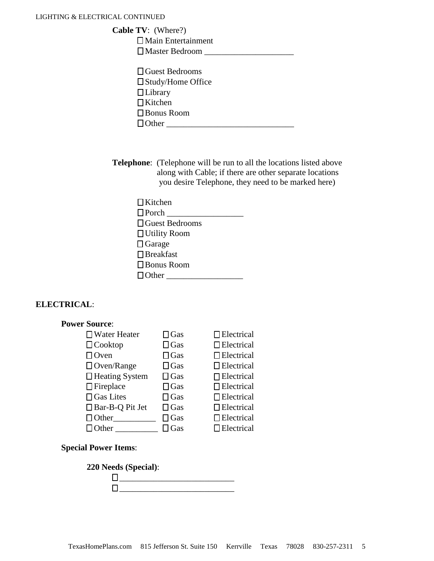**Cable TV**: (Where?)

 Main Entertainment Master Bedroom \_\_\_\_\_\_\_\_\_\_\_\_\_\_\_\_\_\_\_\_\_

| □ Guest Bedrooms         |
|--------------------------|
| $\Box$ Study/Home Office |
| $\Box$ Library           |
| $\Box$ Kitchen           |
| $\Box$ Bonus Room        |
| $\Box$ Other             |

**Telephone**: (Telephone will be run to all the locations listed above along with Cable; if there are other separate locations you desire Telephone, they need to be marked here)

| $\Box$ Kitchen        |
|-----------------------|
| $\Box$ Porch          |
| $\Box$ Guest Bedrooms |
| $\Box$ Utility Room   |
| $\Box$ Garage         |
| $\Box$ Breakfast      |
| $\Box$ Bonus Room     |
| $\Box$ Other          |

## **ELECTRICAL**:

| <b>Power Source:</b>  |               |                   |
|-----------------------|---------------|-------------------|
| $\Box$ Water Heater   | $\square$ Gas | $\Box$ Electrical |
| $\Box$ Cooktop        | $\square$ Gas | $\Box$ Electrical |
| $\Box$ Oven           | $\square$ Gas | $\Box$ Electrical |
| $\Box$ Oven/Range     | $\square$ Gas | $\Box$ Electrical |
| $\Box$ Heating System | $\square$ Gas | $\Box$ Electrical |
| $\Box$ Fireplace      | $\square$ Gas | $\Box$ Electrical |
| $\Box$ Gas Lites      | $\square$ Gas | $\Box$ Electrical |
| □ Bar-B-Q Pit Jet     | $\Box$ Gas    | $\Box$ Electrical |
| $\Box$ Other          | $\square$ Gas | $\Box$ Electrical |
| Other                 | Gas           | <b>Electrical</b> |

## **Special Power Items**:

**220 Needs (Special)**: